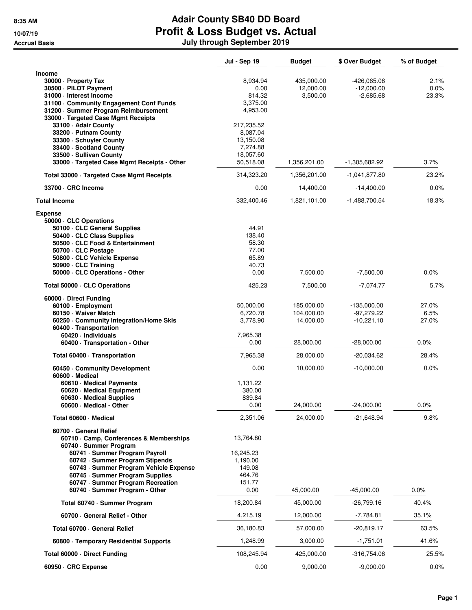|                                                                                                                                                                                                                                                                                                                  | <b>Jul - Sep 19</b>                                                      | <b>Budget</b>                         | \$ Over Budget                               | % of Budget            |
|------------------------------------------------------------------------------------------------------------------------------------------------------------------------------------------------------------------------------------------------------------------------------------------------------------------|--------------------------------------------------------------------------|---------------------------------------|----------------------------------------------|------------------------|
| <b>Income</b><br>30000 - Property Tax<br>30500 · PILOT Payment<br>31000 - Interest Income<br>31100 Community Engagement Conf Funds<br>31200 · Summer Program Reimbursement<br>33000 · Targeted Case Mgmt Receipts<br>33100 - Adair County                                                                        | 8,934.94<br>0.00<br>814.32<br>3,375.00<br>4,953.00<br>217,235.52         | 435,000.00<br>12,000.00<br>3,500.00   | $-426,065.06$<br>$-12,000.00$<br>$-2,685.68$ | 2.1%<br>0.0%<br>23.3%  |
| 33200 - Putnam County<br>33300 · Schuyler County<br>33400 · Scotland County<br>33500 - Sullivan County<br>33000 · Targeted Case Mgmt Receipts - Other                                                                                                                                                            | 8,087.04<br>13,150.08<br>7,274.88<br>18,057.60<br>50,518.08              | 1,356,201.00                          | -1,305,682.92                                | 3.7%                   |
| Total 33000 · Targeted Case Mgmt Receipts                                                                                                                                                                                                                                                                        | 314,323.20                                                               | 1,356,201.00                          | -1,041,877.80                                | 23.2%                  |
| 33700 · CRC Income                                                                                                                                                                                                                                                                                               | 0.00                                                                     | 14,400.00                             | $-14,400.00$                                 | $0.0\%$                |
| <b>Total Income</b>                                                                                                                                                                                                                                                                                              | 332,400.46                                                               | 1,821,101.00                          | -1,488,700.54                                | 18.3%                  |
| <b>Expense</b><br>50000 · CLC Operations<br>50100 · CLC General Supplies<br>50400 CLC Class Supplies<br>50500 · CLC Food & Entertainment<br>50700 · CLC Postage<br>50800 · CLC Vehicle Expense<br>50900 CLC Training<br>50000 · CLC Operations - Other                                                           | 44.91<br>138.40<br>58.30<br>77.00<br>65.89<br>40.73<br>0.00              | 7,500.00                              | $-7,500.00$                                  | 0.0%                   |
|                                                                                                                                                                                                                                                                                                                  |                                                                          |                                       |                                              |                        |
| Total 50000 · CLC Operations                                                                                                                                                                                                                                                                                     | 425.23                                                                   | 7,500.00                              | $-7,074.77$                                  | 5.7%                   |
| 60000 Direct Funding<br>60100 · Employment<br>60150 · Waiver Match<br>60250 Community Integration/Home Skls<br>60400 · Transportation<br>60420 · Individuals                                                                                                                                                     | 50,000.00<br>6,720.78<br>3,778.90<br>7,965.38                            | 185,000.00<br>104,000.00<br>14,000.00 | -135,000.00<br>$-97,279.22$<br>$-10,221.10$  | 27.0%<br>6.5%<br>27.0% |
| 60400 · Transportation - Other                                                                                                                                                                                                                                                                                   | 0.00                                                                     | 28,000.00                             | $-28,000.00$                                 | $0.0\%$                |
| Total 60400 · Transportation                                                                                                                                                                                                                                                                                     | 7,965.38                                                                 | 28,000.00                             | -20,034.62                                   | 28.4%                  |
| 60450 Community Development                                                                                                                                                                                                                                                                                      | 0.00                                                                     | 10,000.00                             | $-10,000.00$                                 | 0.0%                   |
| 60600 Medical<br>60610 · Medical Payments<br>60620 · Medical Equipment<br>60630 · Medical Supplies<br>60600 - Medical - Other                                                                                                                                                                                    | 1,131.22<br>380.00<br>839.84<br>0.00                                     | 24,000.00                             | $-24,000.00$                                 | 0.0%                   |
| Total 60600 · Medical                                                                                                                                                                                                                                                                                            | 2,351.06                                                                 | 24,000.00                             | -21,648.94                                   | 9.8%                   |
| 60700 General Relief<br>60710 Camp, Conferences & Memberships<br>60740 · Summer Program<br>60741 - Summer Program Payroll<br>60742 · Summer Program Stipends<br>60743 · Summer Program Vehicle Expense<br>60745 · Summer Program Supplies<br>60747 · Summer Program Recreation<br>60740 · Summer Program - Other | 13,764.80<br>16,245.23<br>1,190.00<br>149.08<br>464.76<br>151.77<br>0.00 | 45,000.00                             | $-45,000.00$                                 | 0.0%                   |
| Total 60740 · Summer Program                                                                                                                                                                                                                                                                                     | 18,200.84                                                                | 45,000.00                             | -26,799.16                                   | 40.4%                  |
| 60700 General Relief - Other                                                                                                                                                                                                                                                                                     | 4,215.19                                                                 | 12,000.00                             | -7,784.81                                    | 35.1%                  |
| Total 60700 · General Relief                                                                                                                                                                                                                                                                                     | 36,180.83                                                                | 57,000.00                             | $-20,819.17$                                 | 63.5%                  |
| 60800 · Temporary Residential Supports                                                                                                                                                                                                                                                                           | 1,248.99                                                                 | 3,000.00                              | $-1,751.01$                                  | 41.6%                  |
| Total 60000 Direct Funding                                                                                                                                                                                                                                                                                       | 108,245.94                                                               | 425,000.00                            | -316,754.06                                  | 25.5%                  |
| 60950 · CRC Expense                                                                                                                                                                                                                                                                                              | 0.00                                                                     | 9,000.00                              | $-9,000.00$                                  | $0.0\%$                |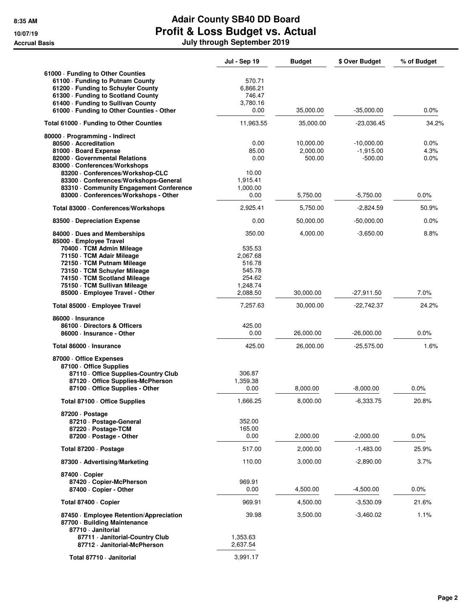|                                                                                                                                                                                                                                                                                  | Jul - Sep 19                                                                       | <b>Budget</b>                   | \$ Over Budget                           | % of Budget          |
|----------------------------------------------------------------------------------------------------------------------------------------------------------------------------------------------------------------------------------------------------------------------------------|------------------------------------------------------------------------------------|---------------------------------|------------------------------------------|----------------------|
| 61000 · Funding to Other Counties<br>61100 - Funding to Putnam County<br>61200 - Funding to Schuyler County<br>61300 · Funding to Scotland County<br>61400 · Funding to Sullivan County<br>61000 - Funding to Other Counties - Other                                             | 570.71<br>6,866.21<br>746.47<br>3,780.16<br>0.00                                   | 35,000.00                       | $-35,000.00$                             | 0.0%                 |
| Total 61000 · Funding to Other Counties                                                                                                                                                                                                                                          | 11,963.55                                                                          | 35,000.00                       | -23,036.45                               | 34.2%                |
| 80000 · Programming - Indirect<br>80500 Accreditation<br>81000 · Board Expense<br>82000 Governmental Relations<br>83000 · Conferences/Workshops<br>83200 - Conferences/Workshop-CLC<br>83300 · Conferences/Workshops-General<br>83310 Community Engagement Conference            | 0.00<br>85.00<br>0.00<br>10.00<br>1,915.41<br>1,000.00                             | 10,000.00<br>2,000.00<br>500.00 | $-10,000.00$<br>$-1,915.00$<br>$-500.00$ | 0.0%<br>4.3%<br>0.0% |
| 83000 · Conferences/Workshops - Other                                                                                                                                                                                                                                            | 0.00                                                                               | 5,750.00                        | $-5,750.00$                              | 0.0%                 |
| Total 83000 · Conferences/Workshops                                                                                                                                                                                                                                              | 2,925.41                                                                           | 5,750.00                        | $-2,824.59$                              | 50.9%                |
| 83500 Depreciation Expense                                                                                                                                                                                                                                                       | 0.00                                                                               | 50,000.00                       | $-50,000.00$                             | 0.0%                 |
| 84000 Dues and Memberships<br>85000 · Employee Travel<br>70400 · TCM Admin Mileage<br>71150 · TCM Adair Mileage<br>72150 · TCM Putnam Mileage<br>73150 · TCM Schuyler Mileage<br>74150 · TCM Scotland Mileage<br>75150 · TCM Sullivan Mileage<br>85000 · Employee Travel - Other | 350.00<br>535.53<br>2.067.68<br>516.78<br>545.78<br>254.62<br>1,248.74<br>2,088.50 | 4,000.00<br>30,000.00           | $-3,650.00$<br>$-27,911.50$              | 8.8%<br>7.0%         |
| Total 85000 · Employee Travel                                                                                                                                                                                                                                                    | 7,257.63                                                                           | 30,000.00                       | $-22,742.37$                             | 24.2%                |
| 86000 · Insurance<br>86100 Directors & Officers<br>86000 · Insurance - Other<br>Total 86000 · Insurance                                                                                                                                                                          | 425.00<br>0.00<br>425.00                                                           | 26,000.00<br>26,000.00          | $-26,000.00$<br>$-25,575.00$             | 0.0%<br>1.6%         |
| 87000 Office Expenses<br>87100 Office Supplies<br>87110 Office Supplies-Country Club<br>87120 Office Supplies-McPherson<br>87100 - Office Supplies - Other                                                                                                                       | 306.87<br>1,359.38<br>0.00                                                         | 8,000.00                        | $-8,000.00$                              | 0.0%                 |
| Total 87100 · Office Supplies                                                                                                                                                                                                                                                    | 1,666.25                                                                           | 8,000.00                        | $-6,333.75$                              | 20.8%                |
| 87200 · Postage<br>87210 · Postage-General<br>87220 · Postage-TCM<br>87200 · Postage - Other                                                                                                                                                                                     | 352.00<br>165.00<br>0.00                                                           | 2,000.00                        | $-2,000.00$                              | 0.0%                 |
| Total 87200 · Postage                                                                                                                                                                                                                                                            | 517.00                                                                             | 2,000.00                        | $-1,483.00$                              | 25.9%                |
| 87300 Advertising/Marketing                                                                                                                                                                                                                                                      | 110.00                                                                             | 3,000.00                        | $-2,890.00$                              | 3.7%                 |
| 87400 · Copier<br>87420 · Copier-McPherson<br>87400 · Copier - Other                                                                                                                                                                                                             | 969.91<br>0.00                                                                     | 4,500.00                        | $-4,500.00$                              | 0.0%                 |
| Total 87400 · Copier                                                                                                                                                                                                                                                             | 969.91                                                                             | 4,500.00                        | $-3,530.09$                              | 21.6%                |
| 87450 · Employee Retention/Appreciation<br>87700 · Building Maintenance<br>87710 - Janitorial                                                                                                                                                                                    | 39.98                                                                              | 3,500.00                        | $-3,460.02$                              | 1.1%                 |
| 87711 · Janitorial-Country Club<br>87712 · Janitorial-McPherson                                                                                                                                                                                                                  | 1,353.63<br>2,637.54                                                               |                                 |                                          |                      |
| Total 87710 - Janitorial                                                                                                                                                                                                                                                         | 3,991.17                                                                           |                                 |                                          |                      |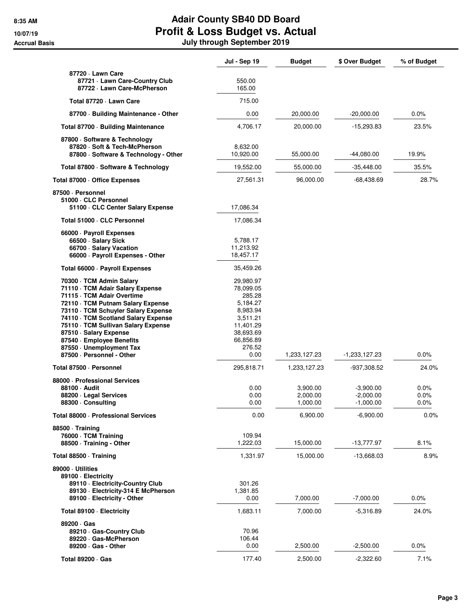|                                                                                                                                                                                                                                                                                                                                                                      | <b>Jul - Sep 19</b>                                                                                                           | <b>Budget</b>                                | \$ Over Budget                                           | % of Budget                  |
|----------------------------------------------------------------------------------------------------------------------------------------------------------------------------------------------------------------------------------------------------------------------------------------------------------------------------------------------------------------------|-------------------------------------------------------------------------------------------------------------------------------|----------------------------------------------|----------------------------------------------------------|------------------------------|
| 87720 - Lawn Care<br>87721 · Lawn Care-Country Club<br>87722 · Lawn Care-McPherson                                                                                                                                                                                                                                                                                   | 550.00<br>165.00                                                                                                              |                                              |                                                          |                              |
| Total 87720 - Lawn Care                                                                                                                                                                                                                                                                                                                                              | 715.00                                                                                                                        |                                              |                                                          |                              |
| 87700 · Building Maintenance - Other                                                                                                                                                                                                                                                                                                                                 | 0.00                                                                                                                          | 20,000.00                                    | $-20,000.00$                                             | $0.0\%$                      |
| Total 87700 · Building Maintenance                                                                                                                                                                                                                                                                                                                                   | 4,706.17                                                                                                                      | 20,000.00                                    | $-15,293.83$                                             | 23.5%                        |
| 87800 · Software & Technology<br>87820 · Soft & Tech-McPherson<br>87800 · Software & Technology - Other                                                                                                                                                                                                                                                              | 8,632.00<br>10,920.00                                                                                                         | 55,000.00                                    | -44,080.00                                               | 19.9%                        |
| Total 87800 · Software & Technology                                                                                                                                                                                                                                                                                                                                  | 19,552.00                                                                                                                     | 55,000.00                                    | $-35,448.00$                                             | 35.5%                        |
| Total 87000 · Office Expenses                                                                                                                                                                                                                                                                                                                                        | 27,561.31                                                                                                                     | 96,000.00                                    | -68,438.69                                               | 28.7%                        |
| 87500 · Personnel<br>51000 · CLC Personnel<br>51100 · CLC Center Salary Expense                                                                                                                                                                                                                                                                                      | 17,086.34                                                                                                                     |                                              |                                                          |                              |
| Total 51000 · CLC Personnel                                                                                                                                                                                                                                                                                                                                          | 17,086.34                                                                                                                     |                                              |                                                          |                              |
| 66000 · Payroll Expenses<br>66500 · Salary Sick<br>66700 · Salary Vacation<br>66000 · Payroll Expenses - Other                                                                                                                                                                                                                                                       | 5,788.17<br>11,213.92<br>18,457.17                                                                                            |                                              |                                                          |                              |
| Total 66000 · Payroll Expenses                                                                                                                                                                                                                                                                                                                                       | 35,459.26                                                                                                                     |                                              |                                                          |                              |
| 70300 · TCM Admin Salary<br>71110 · TCM Adair Salary Expense<br>71115 · TCM Adair Overtime<br>72110 · TCM Putnam Salary Expense<br>73110 · TCM Schuyler Salary Expense<br>74110 · TCM Scotland Salary Expense<br>75110 · TCM Sullivan Salary Expense<br>87510 · Salary Expense<br>87540 · Employee Benefits<br>87550 · Unemployment Tax<br>87500 · Personnel - Other | 29,980.97<br>78,099.05<br>285.28<br>5,184.27<br>8,983.94<br>3,511.21<br>11,401.29<br>38,693.69<br>66,856.89<br>276.52<br>0.00 | 1,233,127.23                                 | -1,233,127.23                                            | 0.0%                         |
| Total 87500 · Personnel                                                                                                                                                                                                                                                                                                                                              | 295,818.71                                                                                                                    | 1,233,127.23                                 | -937,308.52                                              | 24.0%                        |
| 88000 - Professional Services<br>88100 · Audit<br>88200 · Legal Services<br>88300 · Consulting<br>Total 88000 · Professional Services                                                                                                                                                                                                                                | 0.00<br>0.00<br>0.00<br>0.00                                                                                                  | 3,900.00<br>2,000.00<br>1,000.00<br>6,900.00 | $-3,900.00$<br>$-2,000.00$<br>$-1,000.00$<br>$-6,900.00$ | 0.0%<br>0.0%<br>0.0%<br>0.0% |
| 88500 Training<br>76000 · TCM Training<br>88500 · Training - Other                                                                                                                                                                                                                                                                                                   | 109.94<br>1,222.03                                                                                                            | 15,000.00                                    | -13,777.97                                               | 8.1%                         |
| Total 88500 · Training                                                                                                                                                                                                                                                                                                                                               | 1,331.97                                                                                                                      | 15,000.00                                    | $-13,668.03$                                             | 8.9%                         |
| 89000 Utilities<br>89100 - Electricity<br>89110 - Electricity-Country Club<br>89130 - Electricity-314 E McPherson<br>89100 · Electricity - Other                                                                                                                                                                                                                     | 301.26<br>1,381.85<br>0.00                                                                                                    | 7,000.00                                     | $-7,000.00$                                              | 0.0%                         |
| Total 89100 · Electricity                                                                                                                                                                                                                                                                                                                                            | 1,683.11                                                                                                                      | 7,000.00                                     | $-5,316.89$                                              | 24.0%                        |
| 89200 Gas<br>89210 Gas-Country Club<br>89220 Gas-McPherson<br>89200 · Gas - Other                                                                                                                                                                                                                                                                                    | 70.96<br>106.44<br>0.00                                                                                                       | 2,500.00                                     | $-2,500.00$                                              | $0.0\%$                      |
| Total 89200 · Gas                                                                                                                                                                                                                                                                                                                                                    | 177.40                                                                                                                        | 2,500.00                                     | $-2,322.60$                                              | 7.1%                         |